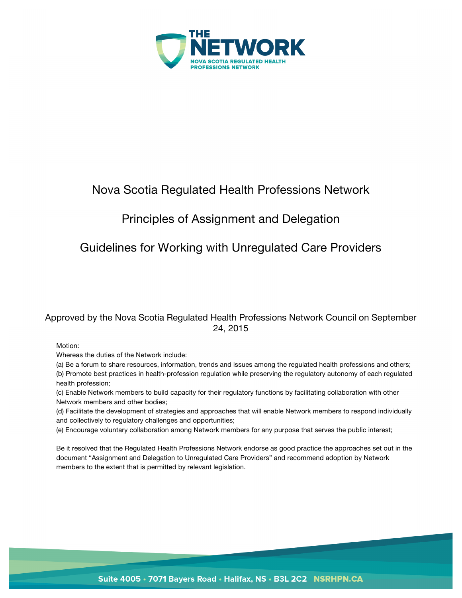

# Nova Scotia Regulated Health Professions Network

# Principles of Assignment and Delegation

# Guidelines for Working with Unregulated Care Providers

# Approved by the Nova Scotia Regulated Health Professions Network Council on September 24, 2015

Motion:

Whereas the duties of the Network include:

(a) Be a forum to share resources, information, trends and issues among the regulated health professions and others; (b) Promote best practices in health-profession regulation while preserving the regulatory autonomy of each regulated health profession;

(c) Enable Network members to build capacity for their regulatory functions by facilitating collaboration with other Network members and other bodies;

(d) Facilitate the development of strategies and approaches that will enable Network members to respond individually and collectively to regulatory challenges and opportunities;

(e) Encourage voluntary collaboration among Network members for any purpose that serves the public interest;

Be it resolved that the Regulated Health Professions Network endorse as good practice the approaches set out in the document "Assignment and Delegation to Unregulated Care Providers" and recommend adoption by Network members to the extent that is permitted by relevant legislation.

Suite 4005 · 7071 Bayers Road · Halifax, NS · B3L 2C2 NSRHPN.CA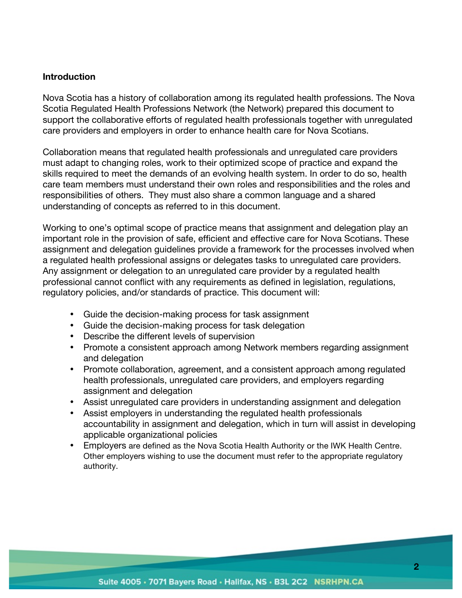#### **Introduction**

Nova Scotia has a history of collaboration among its regulated health professions. The Nova Scotia Regulated Health Professions Network (the Network) prepared this document to support the collaborative efforts of regulated health professionals together with unregulated care providers and employers in order to enhance health care for Nova Scotians.

Collaboration means that regulated health professionals and unregulated care providers must adapt to changing roles, work to their optimized scope of practice and expand the skills required to meet the demands of an evolving health system. In order to do so, health care team members must understand their own roles and responsibilities and the roles and responsibilities of others. They must also share a common language and a shared understanding of concepts as referred to in this document.

Working to one's optimal scope of practice means that assignment and delegation play an important role in the provision of safe, efficient and effective care for Nova Scotians. These assignment and delegation guidelines provide a framework for the processes involved when a regulated health professional assigns or delegates tasks to unregulated care providers. Any assignment or delegation to an unregulated care provider by a regulated health professional cannot conflict with any requirements as defined in legislation, regulations, regulatory policies, and/or standards of practice. This document will:

- Guide the decision-making process for task assignment
- Guide the decision-making process for task delegation
- Describe the different levels of supervision
- Promote a consistent approach among Network members regarding assignment and delegation
- Promote collaboration, agreement, and a consistent approach among regulated health professionals, unregulated care providers, and employers regarding assignment and delegation
- Assist unregulated care providers in understanding assignment and delegation
- Assist employers in understanding the regulated health professionals accountability in assignment and delegation, which in turn will assist in developing applicable organizational policies
- Employers are defined as the Nova Scotia Health Authority or the IWK Health Centre. Other employers wishing to use the document must refer to the appropriate regulatory authority.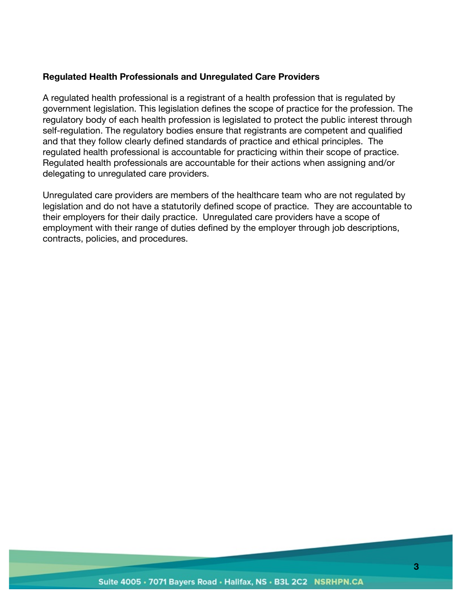### **Regulated Health Professionals and Unregulated Care Providers**

A regulated health professional is a registrant of a health profession that is regulated by government legislation. This legislation defines the scope of practice for the profession. The regulatory body of each health profession is legislated to protect the public interest through self-regulation. The regulatory bodies ensure that registrants are competent and qualified and that they follow clearly defined standards of practice and ethical principles. The regulated health professional is accountable for practicing within their scope of practice. Regulated health professionals are accountable for their actions when assigning and/or delegating to unregulated care providers.

Unregulated care providers are members of the healthcare team who are not regulated by legislation and do not have a statutorily defined scope of practice. They are accountable to their employers for their daily practice. Unregulated care providers have a scope of employment with their range of duties defined by the employer through job descriptions, contracts, policies, and procedures.

#### Suite 4005 · 7071 Bayers Road · Halifax, NS · B3L 2C2 NSRHPN.CA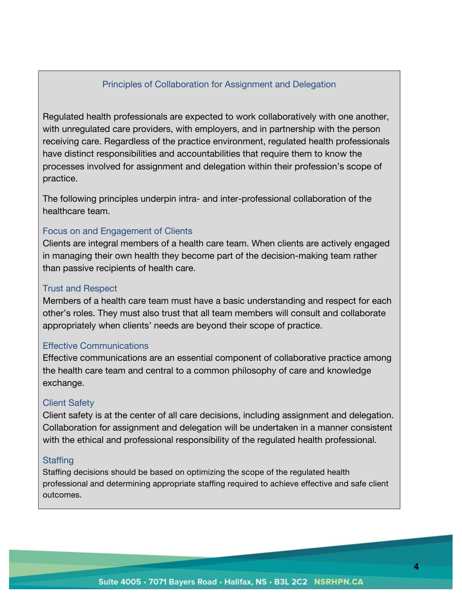## Principles of Collaboration for Assignment and Delegation

Regulated health professionals are expected to work collaboratively with one another, with unregulated care providers, with employers, and in partnership with the person receiving care. Regardless of the practice environment, regulated health professionals have distinct responsibilities and accountabilities that require them to know the processes involved for assignment and delegation within their profession's scope of practice.

The following principles underpin intra- and inter-professional collaboration of the healthcare team.

#### Focus on and Engagement of Clients

Clients are integral members of a health care team. When clients are actively engaged in managing their own health they become part of the decision-making team rather than passive recipients of health care.

#### Trust and Respect

Members of a health care team must have a basic understanding and respect for each other's roles. They must also trust that all team members will consult and collaborate appropriately when clients' needs are beyond their scope of practice.

#### Effective Communications

Effective communications are an essential component of collaborative practice among the health care team and central to a common philosophy of care and knowledge exchange.

#### Client Safety

Client safety is at the center of all care decisions, including assignment and delegation. Collaboration for assignment and delegation will be undertaken in a manner consistent with the ethical and professional responsibility of the regulated health professional.

#### **Staffing**

Staffing decisions should be based on optimizing the scope of the regulated health professional and determining appropriate staffing required to achieve effective and safe client outcomes.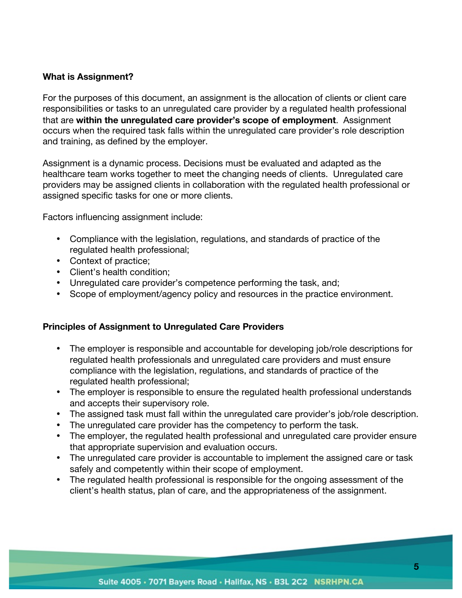## **What is Assignment?**

For the purposes of this document, an assignment is the allocation of clients or client care responsibilities or tasks to an unregulated care provider by a regulated health professional that are **within the unregulated care provider's scope of employment**. Assignment occurs when the required task falls within the unregulated care provider's role description and training, as defined by the employer.

Assignment is a dynamic process. Decisions must be evaluated and adapted as the healthcare team works together to meet the changing needs of clients. Unregulated care providers may be assigned clients in collaboration with the regulated health professional or assigned specific tasks for one or more clients.

Factors influencing assignment include:

- Compliance with the legislation, regulations, and standards of practice of the regulated health professional;
- Context of practice;
- Client's health condition;
- Unregulated care provider's competence performing the task, and;
- Scope of employment/agency policy and resources in the practice environment.

### **Principles of Assignment to Unregulated Care Providers**

- The employer is responsible and accountable for developing job/role descriptions for regulated health professionals and unregulated care providers and must ensure compliance with the legislation, regulations, and standards of practice of the regulated health professional;
- The employer is responsible to ensure the regulated health professional understands and accepts their supervisory role.
- The assigned task must fall within the unregulated care provider's job/role description.
- The unregulated care provider has the competency to perform the task.
- The employer, the regulated health professional and unregulated care provider ensure that appropriate supervision and evaluation occurs.
- The unregulated care provider is accountable to implement the assigned care or task safely and competently within their scope of employment.
- The regulated health professional is responsible for the ongoing assessment of the client's health status, plan of care, and the appropriateness of the assignment.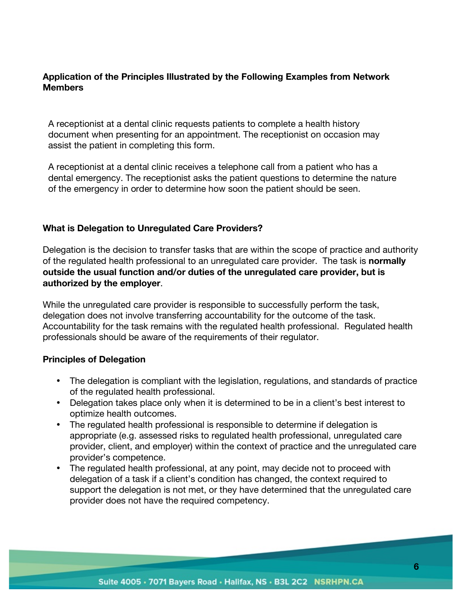## **Application of the Principles Illustrated by the Following Examples from Network Members**

A receptionist at a dental clinic requests patients to complete a health history document when presenting for an appointment. The receptionist on occasion may assist the patient in completing this form.

A receptionist at a dental clinic receives a telephone call from a patient who has a dental emergency. The receptionist asks the patient questions to determine the nature of the emergency in order to determine how soon the patient should be seen.

## **What is Delegation to Unregulated Care Providers?**

Delegation is the decision to transfer tasks that are within the scope of practice and authority of the regulated health professional to an unregulated care provider. The task is **normally outside the usual function and/or duties of the unregulated care provider, but is authorized by the employer**.

While the unregulated care provider is responsible to successfully perform the task, delegation does not involve transferring accountability for the outcome of the task. Accountability for the task remains with the regulated health professional. Regulated health professionals should be aware of the requirements of their regulator.

### **Principles of Delegation**

- The delegation is compliant with the legislation, regulations, and standards of practice of the regulated health professional.
- Delegation takes place only when it is determined to be in a client's best interest to optimize health outcomes.
- The regulated health professional is responsible to determine if delegation is appropriate (e.g. assessed risks to regulated health professional, unregulated care provider, client, and employer) within the context of practice and the unregulated care provider's competence.
- The regulated health professional, at any point, may decide not to proceed with delegation of a task if a client's condition has changed, the context required to support the delegation is not met, or they have determined that the unregulated care provider does not have the required competency.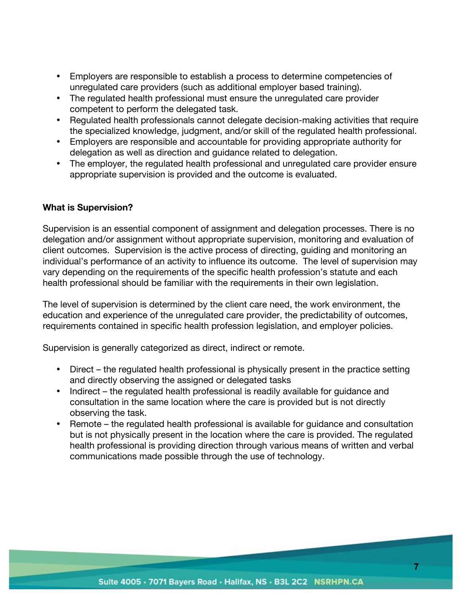- Employers are responsible to establish a process to determine competencies of unregulated care providers (such as additional employer based training).
- The regulated health professional must ensure the unregulated care provider competent to perform the delegated task.
- Regulated health professionals cannot delegate decision-making activities that require the specialized knowledge, judgment, and/or skill of the regulated health professional.
- Employers are responsible and accountable for providing appropriate authority for delegation as well as direction and guidance related to delegation.
- The employer, the regulated health professional and unregulated care provider ensure appropriate supervision is provided and the outcome is evaluated.

## **What is Supervision?**

Supervision is an essential component of assignment and delegation processes. There is no delegation and/or assignment without appropriate supervision, monitoring and evaluation of client outcomes. Supervision is the active process of directing, guiding and monitoring an individual's performance of an activity to influence its outcome. The level of supervision may vary depending on the requirements of the specific health profession's statute and each health professional should be familiar with the requirements in their own legislation.

The level of supervision is determined by the client care need, the work environment, the education and experience of the unregulated care provider, the predictability of outcomes, requirements contained in specific health profession legislation, and employer policies.

Supervision is generally categorized as direct, indirect or remote.

- Direct the regulated health professional is physically present in the practice setting and directly observing the assigned or delegated tasks
- Indirect the regulated health professional is readily available for guidance and consultation in the same location where the care is provided but is not directly observing the task.
- Remote the regulated health professional is available for guidance and consultation but is not physically present in the location where the care is provided. The regulated health professional is providing direction through various means of written and verbal communications made possible through the use of technology.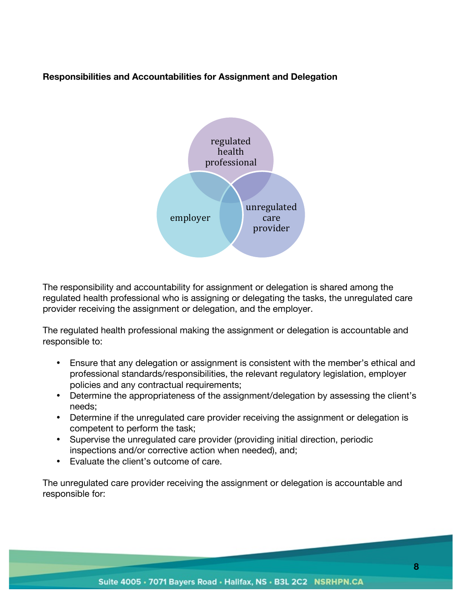## **Responsibilities and Accountabilities for Assignment and Delegation**



The responsibility and accountability for assignment or delegation is shared among the regulated health professional who is assigning or delegating the tasks, the unregulated care provider receiving the assignment or delegation, and the employer.

The regulated health professional making the assignment or delegation is accountable and responsible to:

- Ensure that any delegation or assignment is consistent with the member's ethical and professional standards/responsibilities, the relevant regulatory legislation, employer policies and any contractual requirements;
- Determine the appropriateness of the assignment/delegation by assessing the client's needs;
- Determine if the unregulated care provider receiving the assignment or delegation is competent to perform the task;
- Supervise the unregulated care provider (providing initial direction, periodic inspections and/or corrective action when needed), and;
- Evaluate the client's outcome of care.

The unregulated care provider receiving the assignment or delegation is accountable and responsible for: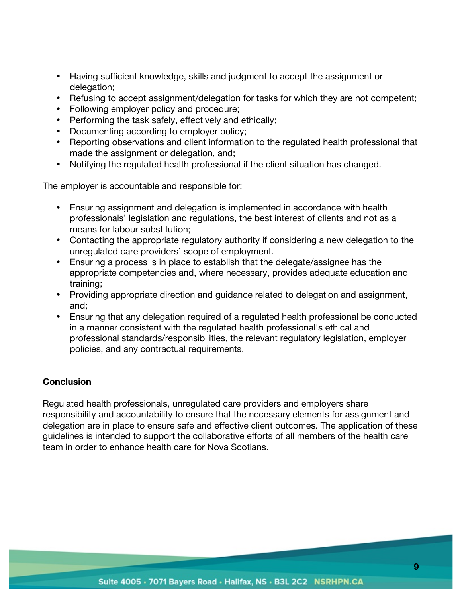- Having sufficient knowledge, skills and judgment to accept the assignment or delegation;
- Refusing to accept assignment/delegation for tasks for which they are not competent;
- Following employer policy and procedure;
- Performing the task safely, effectively and ethically;
- Documenting according to employer policy;
- Reporting observations and client information to the regulated health professional that made the assignment or delegation, and;
- Notifying the regulated health professional if the client situation has changed.

The employer is accountable and responsible for:

- Ensuring assignment and delegation is implemented in accordance with health professionals' legislation and regulations, the best interest of clients and not as a means for labour substitution;
- Contacting the appropriate regulatory authority if considering a new delegation to the unregulated care providers' scope of employment.
- Ensuring a process is in place to establish that the delegate/assignee has the appropriate competencies and, where necessary, provides adequate education and training;
- Providing appropriate direction and guidance related to delegation and assignment, and;
- Ensuring that any delegation required of a regulated health professional be conducted in a manner consistent with the regulated health professional's ethical and professional standards/responsibilities, the relevant regulatory legislation, employer policies, and any contractual requirements.

## **Conclusion**

Regulated health professionals, unregulated care providers and employers share responsibility and accountability to ensure that the necessary elements for assignment and delegation are in place to ensure safe and effective client outcomes. The application of these guidelines is intended to support the collaborative efforts of all members of the health care team in order to enhance health care for Nova Scotians.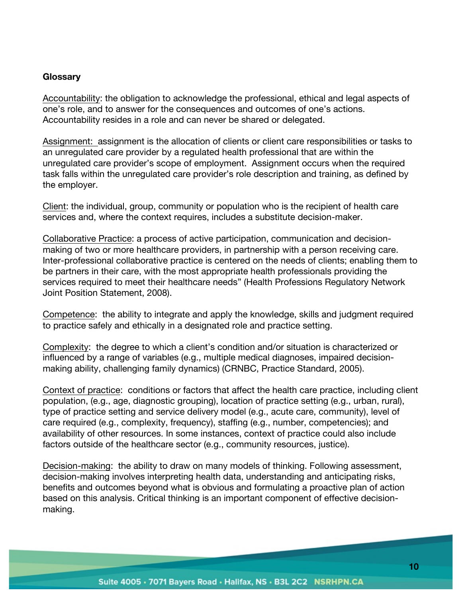#### **Glossary**

Accountability: the obligation to acknowledge the professional, ethical and legal aspects of one's role, and to answer for the consequences and outcomes of one's actions. Accountability resides in a role and can never be shared or delegated.

Assignment: assignment is the allocation of clients or client care responsibilities or tasks to an unregulated care provider by a regulated health professional that are within the unregulated care provider's scope of employment. Assignment occurs when the required task falls within the unregulated care provider's role description and training, as defined by the employer.

Client: the individual, group, community or population who is the recipient of health care services and, where the context requires, includes a substitute decision-maker.

Collaborative Practice: a process of active participation, communication and decisionmaking of two or more healthcare providers, in partnership with a person receiving care. Inter-professional collaborative practice is centered on the needs of clients; enabling them to be partners in their care, with the most appropriate health professionals providing the services required to meet their healthcare needs" (Health Professions Regulatory Network Joint Position Statement, 2008).

Competence: the ability to integrate and apply the knowledge, skills and judgment required to practice safely and ethically in a designated role and practice setting.

Complexity: the degree to which a client's condition and/or situation is characterized or influenced by a range of variables (e.g., multiple medical diagnoses, impaired decisionmaking ability, challenging family dynamics) (CRNBC, Practice Standard, 2005).

Context of practice: conditions or factors that affect the health care practice, including client population, (e.g., age, diagnostic grouping), location of practice setting (e.g., urban, rural), type of practice setting and service delivery model (e.g., acute care, community), level of care required (e.g., complexity, frequency), staffing (e.g., number, competencies); and availability of other resources. In some instances, context of practice could also include factors outside of the healthcare sector (e.g., community resources, justice).

Decision-making: the ability to draw on many models of thinking. Following assessment, decision-making involves interpreting health data, understanding and anticipating risks, benefits and outcomes beyond what is obvious and formulating a proactive plan of action based on this analysis. Critical thinking is an important component of effective decisionmaking.